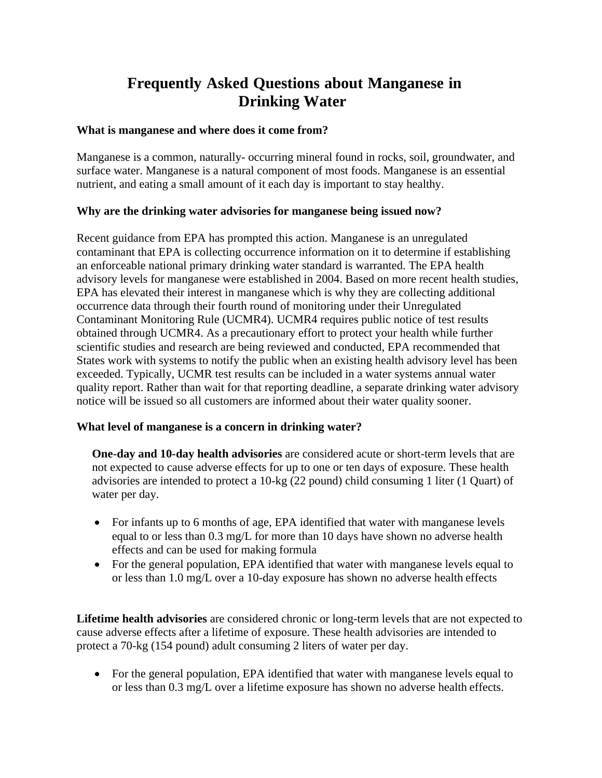# **Frequently Asked Questions about Manganese in Drinking Water**

#### **What is manganese and where does it come from?**

Manganese is a common, naturally- occurring mineral found in rocks, soil, groundwater, and surface water. Manganese is a natural component of most foods. Manganese is an essential nutrient, and eating a small amount of it each day is important to stay healthy.

## **Why are the drinking water advisories for manganese being issued now?**

Recent guidance from EPA has prompted this action. Manganese is an unregulated contaminant that EPA is collecting occurrence information on it to determine if establishing an enforceable national primary drinking water standard is warranted. The EPA health advisory levels for manganese were established in 2004. Based on more recent health studies, EPA has elevated their interest in manganese which is why they are collecting additional occurrence data through their fourth round of monitoring under their Unregulated Contaminant Monitoring Rule (UCMR4). UCMR4 requires public notice of test results obtained through UCMR4. As a precautionary effort to protect your health while further scientific studies and research are being reviewed and conducted, EPA recommended that States work with systems to notify the public when an existing health advisory level has been exceeded. Typically, UCMR test results can be included in a water systems annual water quality report. Rather than wait for that reporting deadline, a separate drinking water advisory notice will be issued so all customers are informed about their water quality sooner.

## **What level of manganese is a concern in drinking water?**

**One-day and 10-day health advisories** are considered acute or short-term levels that are not expected to cause adverse effects for up to one or ten days of exposure. These health advisories are intended to protect a 10-kg (22 pound) child consuming 1 liter (1 Quart) of water per day.

- For infants up to 6 months of age, EPA identified that water with manganese levels equal to or less than 0.3 mg/L for more than 10 days have shown no adverse health effects and can be used for making formula
- For the general population, EPA identified that water with manganese levels equal to or less than 1.0 mg/L over a 10-day exposure has shown no adverse health effects

**Lifetime health advisories** are considered chronic or long-term levels that are not expected to cause adverse effects after a lifetime of exposure. These health advisories are intended to protect a 70-kg (154 pound) adult consuming 2 liters of water per day.

• For the general population, EPA identified that water with manganese levels equal to or less than 0.3 mg/L over a lifetime exposure has shown no adverse health effects.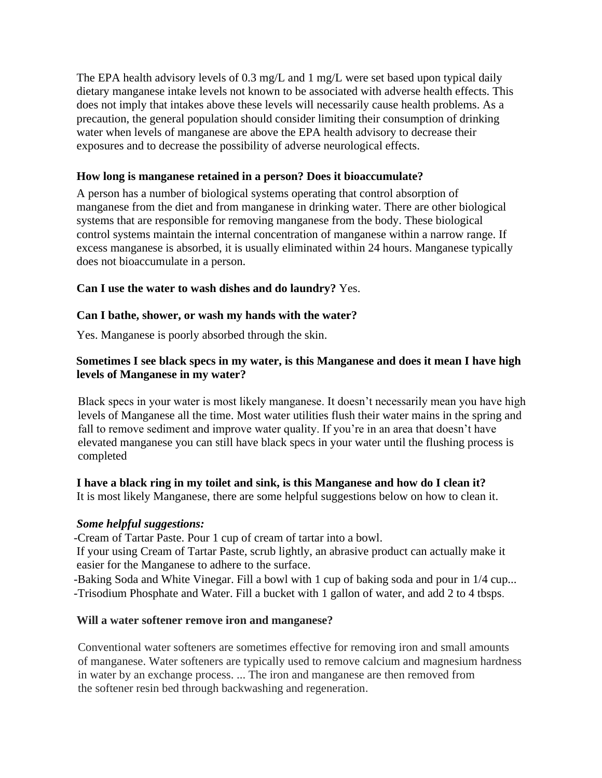The EPA health advisory levels of 0.3 mg/L and 1 mg/L were set based upon typical daily dietary manganese intake levels not known to be associated with adverse health effects. This does not imply that intakes above these levels will necessarily cause health problems. As a precaution, the general population should consider limiting their consumption of drinking water when levels of manganese are above the EPA health advisory to decrease their exposures and to decrease the possibility of adverse neurological effects.

## **How long is manganese retained in a person? Does it bioaccumulate?**

A person has a number of biological systems operating that control absorption of manganese from the diet and from manganese in drinking water. There are other biological systems that are responsible for removing manganese from the body. These biological control systems maintain the internal concentration of manganese within a narrow range. If excess manganese is absorbed, it is usually eliminated within 24 hours. Manganese typically does not bioaccumulate in a person.

# **Can I use the water to wash dishes and do laundry?** Yes.

# **Can I bathe, shower, or wash my hands with the water?**

Yes. Manganese is poorly absorbed through the skin.

# **Sometimes I see black specs in my water, is this Manganese and does it mean I have high levels of Manganese in my water?**

Black specs in your water is most likely manganese. It doesn't necessarily mean you have high levels of Manganese all the time. Most water utilities flush their water mains in the spring and fall to remove sediment and improve water quality. If you're in an area that doesn't have elevated manganese you can still have black specs in your water until the flushing process is completed

# **I have a black ring in my toilet and sink, is this Manganese and how do I clean it?**

It is most likely Manganese, there are some helpful suggestions below on how to clean it.

# *Some helpful suggestions:*

-Cream of Tartar Paste. Pour 1 cup of cream of tartar into a bowl.

 If your using Cream of Tartar Paste, scrub lightly, an abrasive product can actually make it easier for the Manganese to adhere to the surface.

-Baking Soda and White Vinegar. Fill a bowl with 1 cup of baking soda and pour in 1/4 cup... -Trisodium Phosphate and Water. Fill a bucket with 1 gallon of water, and add 2 to 4 tbsps.

# **Will a water softener remove iron and manganese?**

Conventional water softeners are sometimes effective for removing iron and small amounts of manganese. Water softeners are typically used to remove calcium and magnesium hardness in water by an exchange process. ... The iron and manganese are then removed from the softener resin bed through backwashing and regeneration.